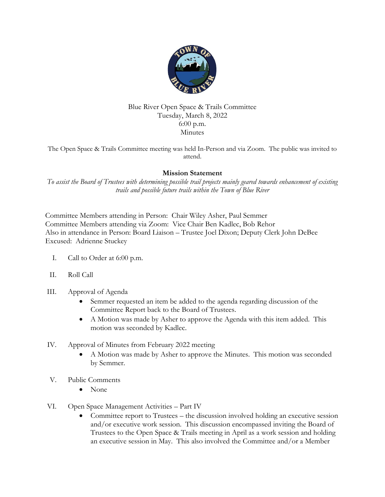

## Blue River Open Space & Trails Committee Tuesday, March 8, 2022 6:00 p.m. Minutes

The Open Space & Trails Committee meeting was held In-Person and via Zoom. The public was invited to attend.

## **Mission Statement**

*To assist the Board of Trustees with determining possible trail projects mainly geared towards enhancement of existing trails and possible future trails within the Town of Blue River*

Committee Members attending in Person: Chair Wiley Asher, Paul Semmer Committee Members attending via Zoom: Vice Chair Ben Kadlec, Bob Rehor Also in attendance in Person: Board Liaison – Trustee Joel Dixon; Deputy Clerk John DeBee Excused: Adrienne Stuckey

- I. Call to Order at 6:00 p.m.
- II. Roll Call
- III. Approval of Agenda
	- Semmer requested an item be added to the agenda regarding discussion of the Committee Report back to the Board of Trustees.
	- A Motion was made by Asher to approve the Agenda with this item added. This motion was seconded by Kadlec.
- IV. Approval of Minutes from February 2022 meeting
	- A Motion was made by Asher to approve the Minutes. This motion was seconded by Semmer.
- V. Public Comments
	- None
- VI. Open Space Management Activities Part IV
	- Committee report to Trustees the discussion involved holding an executive session and/or executive work session. This discussion encompassed inviting the Board of Trustees to the Open Space & Trails meeting in April as a work session and holding an executive session in May. This also involved the Committee and/or a Member